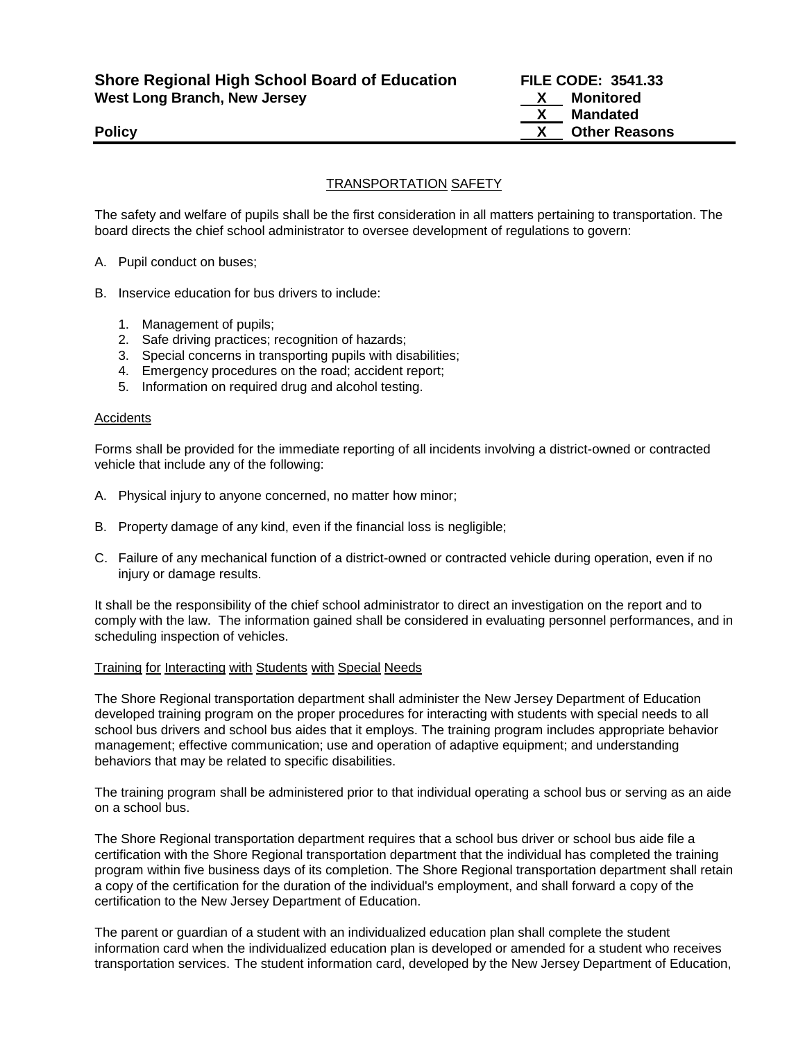**Shore Regional High School Board of Education FILE CODE: 3541.33 West Long Branch, New Jersey X Monitored**

## TRANSPORTATION SAFETY

The safety and welfare of pupils shall be the first consideration in all matters pertaining to transportation. The board directs the chief school administrator to oversee development of regulations to govern:

- A. Pupil conduct on buses;
- B. Inservice education for bus drivers to include:
	- 1. Management of pupils;
	- 2. Safe driving practices; recognition of hazards;
	- 3. Special concerns in transporting pupils with disabilities;
	- 4. Emergency procedures on the road; accident report;
	- 5. Information on required drug and alcohol testing.

#### Accidents

Forms shall be provided for the immediate reporting of all incidents involving a district-owned or contracted vehicle that include any of the following:

- A. Physical injury to anyone concerned, no matter how minor;
- B. Property damage of any kind, even if the financial loss is negligible;
- C. Failure of any mechanical function of a district-owned or contracted vehicle during operation, even if no injury or damage results.

It shall be the responsibility of the chief school administrator to direct an investigation on the report and to comply with the law. The information gained shall be considered in evaluating personnel performances, and in scheduling inspection of vehicles.

#### Training for Interacting with Students with Special Needs

The Shore Regional transportation department shall administer the New Jersey Department of Education developed training program on the proper procedures for interacting with students with special needs to all school bus drivers and school bus aides that it employs. The training program includes appropriate behavior management; effective communication; use and operation of adaptive equipment; and understanding behaviors that may be related to specific disabilities.

The training program shall be administered prior to that individual operating a school bus or serving as an aide on a school bus.

The Shore Regional transportation department requires that a school bus driver or school bus aide file a certification with the Shore Regional transportation department that the individual has completed the training program within five business days of its completion. The Shore Regional transportation department shall retain a copy of the certification for the duration of the individual's employment, and shall forward a copy of the certification to the New Jersey Department of Education.

The parent or guardian of a student with an individualized education plan shall complete the student information card when the individualized education plan is developed or amended for a student who receives transportation services. The student information card, developed by the New Jersey Department of Education,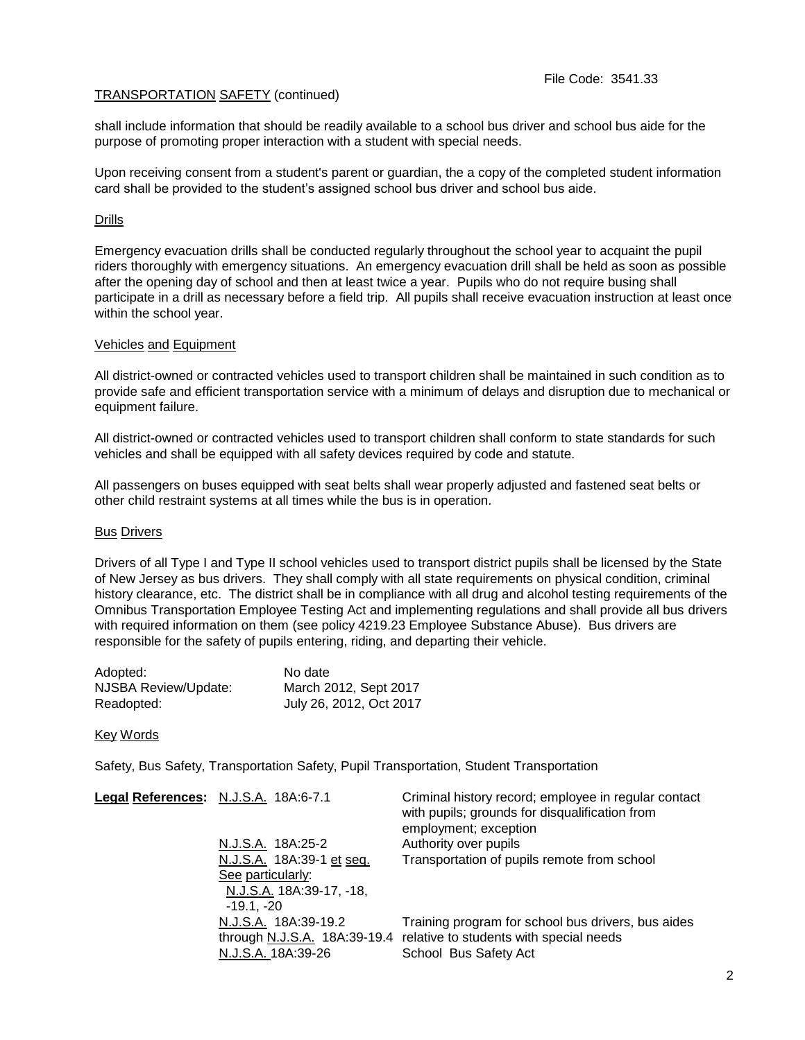# TRANSPORTATION SAFETY (continued)

shall include information that should be readily available to a school bus driver and school bus aide for the purpose of promoting proper interaction with a student with special needs.

Upon receiving consent from a student's parent or guardian, the a copy of the completed student information card shall be provided to the student's assigned school bus driver and school bus aide.

# Drills

Emergency evacuation drills shall be conducted regularly throughout the school year to acquaint the pupil riders thoroughly with emergency situations. An emergency evacuation drill shall be held as soon as possible after the opening day of school and then at least twice a year. Pupils who do not require busing shall participate in a drill as necessary before a field trip.All pupils shall receive evacuation instruction at least once within the school year.

# Vehicles and Equipment

All district-owned or contracted vehicles used to transport children shall be maintained in such condition as to provide safe and efficient transportation service with a minimum of delays and disruption due to mechanical or equipment failure.

All district-owned or contracted vehicles used to transport children shall conform to state standards for such vehicles and shall be equipped with all safety devices required by code and statute.

All passengers on buses equipped with seat belts shall wear properly adjusted and fastened seat belts or other child restraint systems at all times while the bus is in operation.

### **Bus Drivers**

Drivers of all Type I and Type II school vehicles used to transport district pupils shall be licensed by the State of New Jersey as bus drivers. They shall comply with all state requirements on physical condition, criminal history clearance, etc. The district shall be in compliance with all drug and alcohol testing requirements of the Omnibus Transportation Employee Testing Act and implementing regulations and shall provide all bus drivers with required information on them (see policy 4219.23 Employee Substance Abuse). Bus drivers are responsible for the safety of pupils entering, riding, and departing their vehicle.

| Adopted:             | No date                 |
|----------------------|-------------------------|
| NJSBA Review/Update: | March 2012, Sept 2017   |
| Readopted:           | July 26, 2012, Oct 2017 |

### Key Words

Safety, Bus Safety, Transportation Safety, Pupil Transportation, Student Transportation

| Legal References: N.J.S.A. 18A:6-7.1 | Criminal history record; employee in regular contact<br>with pupils; grounds for disqualification from<br>employment; exception |
|--------------------------------------|---------------------------------------------------------------------------------------------------------------------------------|
| N.J.S.A. 18A:25-2                    | Authority over pupils                                                                                                           |
| N.J.S.A. 18A:39-1 et seq.            | Transportation of pupils remote from school                                                                                     |
| See particularly:                    |                                                                                                                                 |
| N.J.S.A. 18A:39-17, -18,             |                                                                                                                                 |
| $-19.1 - 20$                         |                                                                                                                                 |
| N.J.S.A. 18A:39-19.2                 | Training program for school bus drivers, bus aides                                                                              |
|                                      | through N.J.S.A. 18A:39-19.4 relative to students with special needs                                                            |
| N.J.S.A. 18A:39-26                   | School Bus Safety Act                                                                                                           |
|                                      |                                                                                                                                 |